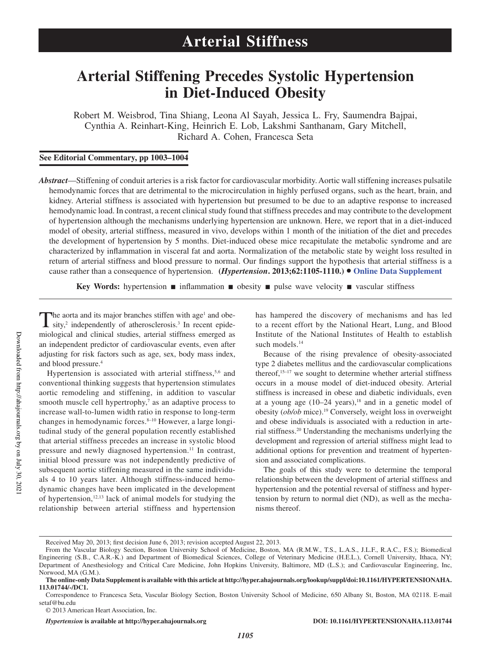# **Arterial Stiffening Precedes Systolic Hypertension in Diet-Induced Obesity**

Robert M. Weisbrod, Tina Shiang, Leona Al Sayah, Jessica L. Fry, Saumendra Bajpai, Cynthia A. Reinhart-King, Heinrich E. Lob, Lakshmi Santhanam, Gary Mitchell, Richard A. Cohen, Francesca Seta

## **See Editorial Commentary, pp 1003–1004**

*Abstract*—Stiffening of conduit arteries is a risk factor for cardiovascular morbidity. Aortic wall stiffening increases pulsatile hemodynamic forces that are detrimental to the microcirculation in highly perfused organs, such as the heart, brain, and kidney. Arterial stiffness is associated with hypertension but presumed to be due to an adaptive response to increased hemodynamic load. In contrast, a recent clinical study found that stiffness precedes and may contribute to the development of hypertension although the mechanisms underlying hypertension are unknown. Here, we report that in a diet-induced model of obesity, arterial stiffness, measured in vivo, develops within 1 month of the initiation of the diet and precedes the development of hypertension by 5 months. Diet-induced obese mice recapitulate the metabolic syndrome and are characterized by inflammation in visceral fat and aorta. Normalization of the metabolic state by weight loss resulted in return of arterial stiffness and blood pressure to normal. Our findings support the hypothesis that arterial stiffness is a cause rather than a consequence of hypertension. **(***Hypertension***. 2013;62:1105-1110.)**• **Online Data Supplement**

**Key Words:** hypertension ■ inflammation ■ obesity ■ pulse wave velocity ■ vascular stiffness

T he aorta and its major branches stiffen with age<sup>1</sup> and obesity,<sup>2</sup> independently of atherosclerosis.<sup>3</sup> In recent epidemiological and clinical studies, arterial stiffness emerged as an independent predictor of cardiovascular events, even after adjusting for risk factors such as age, sex, body mass index, and blood pressure.<sup>4</sup>

Hypertension is associated with arterial stiffness,<sup>5,6</sup> and conventional thinking suggests that hypertension stimulates aortic remodeling and stiffening, in addition to vascular smooth muscle cell hypertrophy,<sup>7</sup> as an adaptive process to increase wall-to-lumen width ratio in response to long-term changes in hemodynamic forces.<sup>8–10</sup> However, a large longitudinal study of the general population recently established that arterial stiffness precedes an increase in systolic blood pressure and newly diagnosed hypertension.<sup>11</sup> In contrast, initial blood pressure was not independently predictive of subsequent aortic stiffening measured in the same individuals 4 to 10 years later. Although stiffness-induced hemodynamic changes have been implicated in the development of hypertension, $12,13$  lack of animal models for studying the relationship between arterial stiffness and hypertension

has hampered the discovery of mechanisms and has led to a recent effort by the National Heart, Lung, and Blood Institute of the National Institutes of Health to establish such models.<sup>14</sup>

Because of the rising prevalence of obesity-associated type 2 diabetes mellitus and the cardiovascular complications thereof,<sup>15-17</sup> we sought to determine whether arterial stiffness occurs in a mouse model of diet-induced obesity. Arterial stiffness is increased in obese and diabetic individuals, even at a young age  $(10-24 \text{ years})$ ,<sup>18</sup> and in a genetic model of obesity (*ob/ob* mice).<sup>19</sup> Conversely, weight loss in overweight and obese individuals is associated with a reduction in arterial stiffness.<sup>20</sup> Understanding the mechanisms underlying the development and regression of arterial stiffness might lead to additional options for prevention and treatment of hypertension and associated complications.

The goals of this study were to determine the temporal relationship between the development of arterial stiffness and hypertension and the potential reversal of stiffness and hypertension by return to normal diet (ND), as well as the mechanisms thereof.

Received May 20, 2013; first decision June 6, 2013; revision accepted August 22, 2013.

From the Vascular Biology Section, Boston University School of Medicine, Boston, MA (R.M.W., T.S., L.A.S., J.L.F., R.A.C., F.S.); Biomedical Engineering (S.B., C.A.R.-K.) and Department of Biomedical Sciences, College of Veterinary Medicine (H.E.L.), Cornell University, Ithaca, NY; Department of Anesthesiology and Critical Care Medicine, John Hopkins University, Baltimore, MD (L.S.); and Cardiovascular Engineering, Inc, Norwood, MA (G.M.).

**The online-only Data Supplement is available with this article at http://hyper.ahajournals.org/lookup/suppl/doi:10.1161/HYPERTENSIONAHA. 113.01744/-/DC1.**

Correspondence to Francesca Seta, Vascular Biology Section, Boston University School of Medicine, 650 Albany St, Boston, MA 02118. E-mail setaf@bu.edu

<sup>© 2013</sup> American Heart Association, Inc.

*Hypertension* is available at http://hyper.ahajournals.org DOI: 10.1161/HYPERTENSIONAHA.113.01744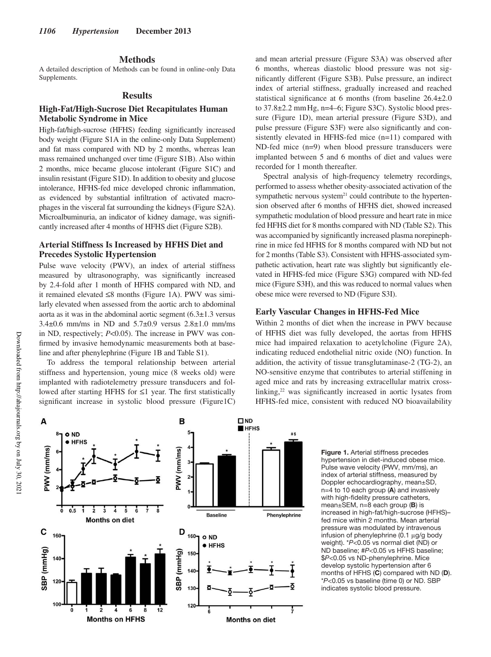## **Methods**

A detailed description of Methods can be found in online-only Data Supplements.

#### **Results**

## **High-Fat/High-Sucrose Diet Recapitulates Human Metabolic Syndrome in Mice**

High-fat/high-sucrose (HFHS) feeding significantly increased body weight (Figure S1A in the online-only Data Supplement) and fat mass compared with ND by 2 months, whereas lean mass remained unchanged over time (Figure S1B). Also within 2 months, mice became glucose intolerant (Figure S1C) and insulin resistant (Figure S1D). In addition to obesity and glucose intolerance, HFHS-fed mice developed chronic inflammation, as evidenced by substantial infiltration of activated macrophages in the visceral fat surrounding the kidneys (Figure S2A). Microalbuminuria, an indicator of kidney damage, was significantly increased after 4 months of HFHS diet (Figure S2B).

## **Arterial Stiffness Is Increased by HFHS Diet and Precedes Systolic Hypertension**

Pulse wave velocity (PWV), an index of arterial stiffness measured by ultrasonography, was significantly increased by 2.4-fold after 1 month of HFHS compared with ND, and it remained elevated ≤8 months (Figure 1A). PWV was similarly elevated when assessed from the aortic arch to abdominal aorta as it was in the abdominal aortic segment  $(6.3 \pm 1.3 \text{ versus}$ 3.4 $\pm$ 0.6 mm/ms in ND and 5.7 $\pm$ 0.9 versus 2.8 $\pm$ 1.0 mm/ms in ND, respectively; *P*<0.05). The increase in PWV was confirmed by invasive hemodynamic measurements both at baseline and after phenylephrine (Figure 1B and Table S1).

To address the temporal relationship between arterial stiffness and hypertension, young mice (8 weeks old) were implanted with radiotelemetry pressure transducers and followed after starting HFHS for ≤1 year. The first statistically significant increase in systolic blood pressure (Figure1C) and mean arterial pressure (Figure S3A) was observed after 6 months, whereas diastolic blood pressure was not significantly different (Figure S3B). Pulse pressure, an indirect index of arterial stiffness, gradually increased and reached statistical significance at 6 months (from baseline 26.4±2.0 to 37.8±2.2 mm Hg, n=4–6; Figure S3C). Systolic blood pressure (Figure 1D), mean arterial pressure (Figure S3D), and pulse pressure (Figure S3F) were also significantly and consistently elevated in HFHS-fed mice (n=11) compared with ND-fed mice (n=9) when blood pressure transducers were implanted between 5 and 6 months of diet and values were recorded for 1 month thereafter.

Spectral analysis of high-frequency telemetry recordings, performed to assess whether obesity-associated activation of the sympathetic nervous system $21$  could contribute to the hypertension observed after 6 months of HFHS diet, showed increased sympathetic modulation of blood pressure and heart rate in mice fed HFHS diet for 8 months compared with ND (Table S2). This was accompanied by significantly increased plasma norepinephrine in mice fed HFHS for 8 months compared with ND but not for 2 months (Table S3). Consistent with HFHS-associated sympathetic activation, heart rate was slightly but significantly elevated in HFHS-fed mice (Figure S3G) compared with ND-fed mice (Figure S3H), and this was reduced to normal values when obese mice were reversed to ND (Figure S3I).

### **Early Vascular Changes in HFHS-Fed Mice**

Within 2 months of diet when the increase in PWV because of HFHS diet was fully developed, the aortas from HFHS mice had impaired relaxation to acetylcholine (Figure 2A), indicating reduced endothelial nitric oxide (NO) function. In addition, the activity of tissue transglutaminase-2 (TG-2), an NO-sensitive enzyme that contributes to arterial stiffening in aged mice and rats by increasing extracellular matrix crosslinking,<sup>22</sup> was significantly increased in aortic lysates from HFHS-fed mice, consistent with reduced NO bioavailability



**Figure 1.** Arterial stiffness precedes hypertension in diet-induced obese mice. Pulse wave velocity (PWV, mm/ms), an index of arterial stiffness, measured by Doppler echocardiography, mean±SD, n=4 to 10 each group (**A**) and invasively with high-fidelity pressure catheters, mean±SEM, n=8 each group (**B**) is increased in high-fat/high-sucrose (HFHS)– fed mice within 2 months. Mean arterial pressure was modulated by intravenous infusion of phenylephrine (0.1 μg/g body weight). \**P*<0.05 vs normal diet (ND) or ND baseline; #*P*<0.05 vs HFHS baseline; \$*P*<0.05 vs ND-phenylephrine. Mice develop systolic hypertension after 6 months of HFHS (**C**) compared with ND (**D**). \**P*<0.05 vs baseline (time 0) or ND. SBP indicates systolic blood pressure.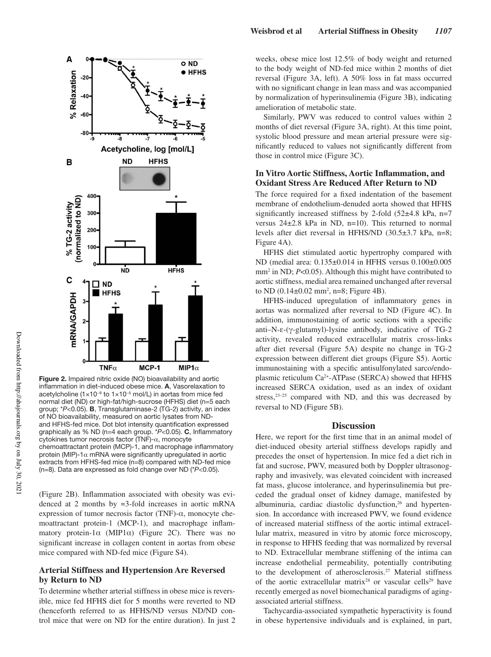

**Figure 2.** Impaired nitric oxide (NO) bioavailability and aortic inflammation in diet-induced obese mice. **A**, Vasorelaxation to acetylcholine (1×10−9 to 1×10−5 mol/L) in aortas from mice fed normal diet (ND) or high-fat/high-sucrose (HFHS) diet (n=5 each group; \**P*<0.05). **B**, Transglutaminase-2 (TG-2) activity, an index of NO bioavailability, measured on aortic lysates from NDand HFHS-fed mice. Dot blot intensity quantification expressed graphically as % ND (n=4 each group. \**P*<0.05). **C**, Inflammatory cytokines tumor necrosis factor (TNF)- $\alpha$ , monocyte chemoattractant protein (MCP)-1, and macrophage inflammatory protein (MIP)-1 $\alpha$  mRNA were significantly upregulated in aortic extracts from HFHS-fed mice (n=8) compared with ND-fed mice (n=8). Data are expressed as fold change over ND (\**P*<0.05).

(Figure 2B). Inflammation associated with obesity was evidenced at 2 months by ≈3-fold increases in aortic mRNA expression of tumor necrosis factor (TNF)-α, monocyte chemoattractant protein-1 (MCP-1), and macrophage inflammatory protein-1 $\alpha$  (MIP1 $\alpha$ ) (Figure 2C). There was no significant increase in collagen content in aortas from obese mice compared with ND-fed mice (Figure S4).

#### **Arterial Stiffness and Hypertension Are Reversed by Return to ND**

To determine whether arterial stiffness in obese mice is reversible, mice fed HFHS diet for 5 months were reverted to ND (henceforth referred to as HFHS/ND versus ND/ND control mice that were on ND for the entire duration). In just 2 weeks, obese mice lost 12.5% of body weight and returned to the body weight of ND-fed mice within 2 months of diet reversal (Figure 3A, left). A 50% loss in fat mass occurred with no significant change in lean mass and was accompanied by normalization of hyperinsulinemia (Figure 3B), indicating amelioration of metabolic state.

Similarly, PWV was reduced to control values within 2 months of diet reversal (Figure 3A, right). At this time point, systolic blood pressure and mean arterial pressure were significantly reduced to values not significantly different from those in control mice (Figure 3C).

## **In Vitro Aortic Stiffness, Aortic Inflammation, and Oxidant Stress Are Reduced After Return to ND**

The force required for a fixed indentation of the basement membrane of endothelium-denuded aorta showed that HFHS significantly increased stiffness by 2-fold (52±4.8 kPa, n=7 versus 24±2.8 kPa in ND, n=10). This returned to normal levels after diet reversal in HFHS/ND (30.5±3.7 kPa, n=8; Figure 4A).

HFHS diet stimulated aortic hypertrophy compared with ND (medial area: 0.135±0.014 in HFHS versus 0.100±0.005 mm<sup>2</sup> in ND; *P<*0.05). Although this might have contributed to aortic stiffness, medial area remained unchanged after reversal to ND  $(0.14 \pm 0.02 \text{ mm}^2, \text{ n=8}; \text{Figure 4B}).$ 

HFHS-induced upregulation of inflammatory genes in aortas was normalized after reversal to ND (Figure 4C). In addition, immunostaining of aortic sections with a specific anti–N-ε-(γ-glutamyl)-lysine antibody, indicative of TG-2 activity, revealed reduced extracellular matrix cross-links after diet reversal (Figure 5A) despite no change in TG-2 expression between different diet groups (Figure S5). Aortic immunostaining with a specific antisulfonylated sarco/endoplasmic reticulum Ca2+-ATPase (SERCA) showed that HFHS increased SERCA oxidation, used as an index of oxidant stress,<sup>23-25</sup> compared with ND, and this was decreased by reversal to ND (Figure 5B).

## **Discussion**

Here, we report for the first time that in an animal model of diet-induced obesity arterial stiffness develops rapidly and precedes the onset of hypertension. In mice fed a diet rich in fat and sucrose, PWV, measured both by Doppler ultrasonography and invasively, was elevated coincident with increased fat mass, glucose intolerance, and hyperinsulinemia but preceded the gradual onset of kidney damage, manifested by albuminuria, cardiac diastolic dysfunction,<sup>26</sup> and hypertension. In accordance with increased PWV, we found evidence of increased material stiffness of the aortic intimal extracellular matrix, measured in vitro by atomic force microscopy, in response to HFHS feeding that was normalized by reversal to ND. Extracellular membrane stiffening of the intima can increase endothelial permeability, potentially contributing to the development of atherosclerosis.<sup>27</sup> Material stiffness of the aortic extracellular matrix<sup>28</sup> or vascular cells<sup>29</sup> have recently emerged as novel biomechanical paradigms of agingassociated arterial stiffness.

Tachycardia-associated sympathetic hyperactivity is found in obese hypertensive individuals and is explained, in part,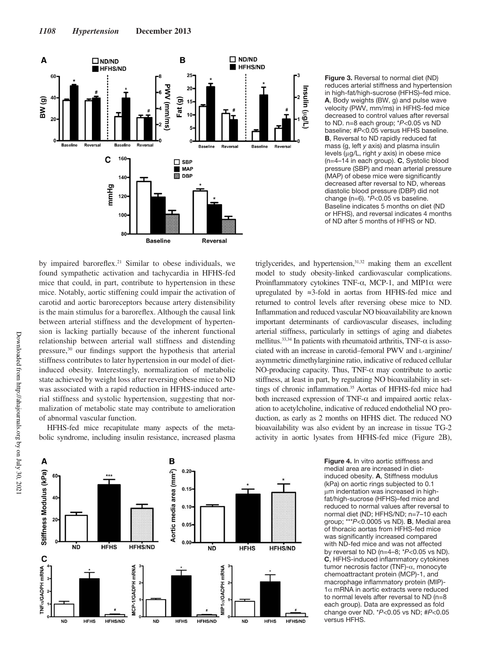

**Figure 3.** Reversal to normal diet (ND) reduces arterial stiffness and hypertension in high-fat/high-sucrose (HFHS)–fed mice. **A**, Body weights (BW, g) and pulse wave velocity (PWV, mm/ms) in HFHS-fed mice decreased to control values after reversal to ND. n=8 each group; \**P*<0.05 vs ND baseline; #*P*<0.05 versus HFHS baseline. **B**, Reversal to ND rapidly reduced fat mass (g, left *y* axis) and plasma insulin levels (μg/L, right *y* axis) in obese mice (n=4–14 in each group). **C**, Systolic blood pressure (SBP) and mean arterial pressure (MAP) of obese mice were significantly decreased after reversal to ND, whereas diastolic blood pressure (DBP) did not change (n=6). \**P*<0.05 vs baseline. Baseline indicates 5 months on diet (ND or HFHS), and reversal indicates 4 months of ND after 5 months of HFHS or ND.

by impaired baroreflex.<sup>21</sup> Similar to obese individuals, we found sympathetic activation and tachycardia in HFHS-fed mice that could, in part, contribute to hypertension in these mice. Notably, aortic stiffening could impair the activation of carotid and aortic baroreceptors because artery distensibility is the main stimulus for a baroreflex. Although the causal link between arterial stiffness and the development of hypertension is lacking partially because of the inherent functional relationship between arterial wall stiffness and distending pressure,<sup>30</sup> our findings support the hypothesis that arterial stiffness contributes to later hypertension in our model of dietinduced obesity. Interestingly, normalization of metabolic state achieved by weight loss after reversing obese mice to ND was associated with a rapid reduction in HFHS-induced arterial stiffness and systolic hypertension, suggesting that normalization of metabolic state may contribute to amelioration of abnormal vascular function.

HFHS-fed mice recapitulate many aspects of the metabolic syndrome, including insulin resistance, increased plasma



triglycerides, and hypertension,<sup>31,32</sup> making them an excellent model to study obesity-linked cardiovascular complications. Proinflammatory cytokines TNF-α, MCP-1, and MIP1α were upregulated by ≈3-fold in aortas from HFHS-fed mice and returned to control levels after reversing obese mice to ND. Inflammation and reduced vascular NO bioavailability are known important determinants of cardiovascular diseases, including arterial stiffness, particularly in settings of aging and diabetes mellitus.<sup>33,34</sup> In patients with rheumatoid arthritis, TNF- $\alpha$  is associated with an increase in carotid–femoral PWV and L-arginine/ asymmetric dimethylarginine ratio, indicative of reduced cellular NO-producing capacity. Thus, TNF- $\alpha$  may contribute to aortic stiffness, at least in part, by regulating NO bioavailability in settings of chronic inflammation.<sup>35</sup> Aortas of HFHS-fed mice had both increased expression of TNF-α and impaired aortic relaxation to acetylcholine, indicative of reduced endothelial NO production, as early as 2 months on HFHS diet. The reduced NO bioavailability was also evident by an increase in tissue TG-2 activity in aortic lysates from HFHS-fed mice (Figure 2B),

> **Figure 4.** In vitro aortic stiffness and medial area are increased in dietinduced obesity. **A**, Stiffness modulus (kPa) on aortic rings subjected to 0.1 μm indentation was increased in highfat/high-sucrose (HFHS)–fed mice and reduced to normal values after reversal to normal diet (ND; HFHS/ND; n=7–10 each group; \*\*\**P*<0.0005 vs ND). **B**, Medial area of thoracic aortas from HFHS-fed mice was significantly increased compared with ND-fed mice and was not affected by reversal to ND (n=4–8; \**P*<0.05 vs ND). **C**, HFHS-induced inflammatory cytokines tumor necrosis factor (TNF)- $α$ , monocyte chemoattractant protein (MCP)-1, and macrophage inflammatory protein (MIP)-  $1\alpha$  mRNA in aortic extracts were reduced to normal levels after reversal to ND (n=8 each group). Data are expressed as fold change over ND. \**P*<0.05 vs ND; #*P*<0.05 versus HFHS.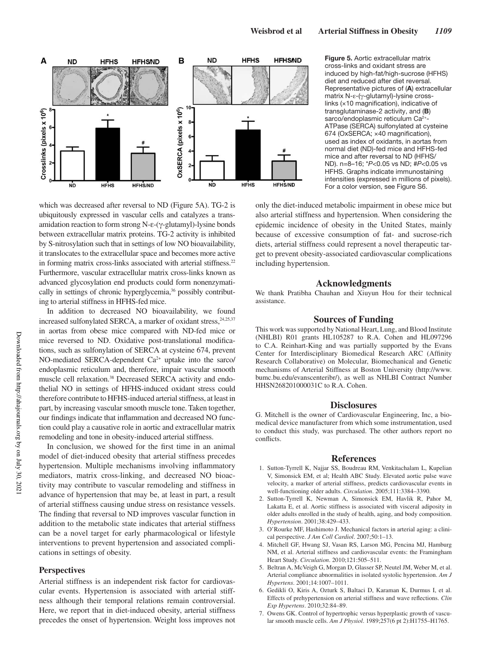

which was decreased after reversal to ND (Figure 5A). TG-2 is ubiquitously expressed in vascular cells and catalyzes a transamidation reaction to form strong N-ε-(γ-glutamyl)-lysine bonds between extracellular matrix proteins. TG-2 activity is inhibited by S-nitrosylation such that in settings of low NO bioavailability, it translocates to the extracellular space and becomes more active in forming matrix cross-links associated with arterial stiffness.<sup>22</sup> Furthermore, vascular extracellular matrix cross-links known as advanced glycosylation end products could form nonenzymatically in settings of chronic hyperglycemia,<sup>36</sup> possibly contributing to arterial stiffness in HFHS-fed mice.

In addition to decreased NO bioavailability, we found increased sulfonylated SERCA, a marker of oxidant stress, <sup>24,25,37</sup> in aortas from obese mice compared with ND-fed mice or mice reversed to ND. Oxidative post-translational modifications, such as sulfonylation of SERCA at cysteine 674, prevent NO-mediated SERCA-dependent Ca<sup>2+</sup> uptake into the sarco/ endoplasmic reticulum and, therefore, impair vascular smooth muscle cell relaxation.38 Decreased SERCA activity and endothelial NO in settings of HFHS-induced oxidant stress could therefore contribute to HFHS-induced arterial stiffness, at least in part, by increasing vascular smooth muscle tone. Taken together, our findings indicate that inflammation and decreased NO function could play a causative role in aortic and extracellular matrix remodeling and tone in obesity-induced arterial stiffness.

In conclusion, we showed for the first time in an animal model of diet-induced obesity that arterial stiffness precedes hypertension. Multiple mechanisms involving inflammatory mediators, matrix cross-linking, and decreased NO bioactivity may contribute to vascular remodeling and stiffness in advance of hypertension that may be, at least in part, a result of arterial stiffness causing undue stress on resistance vessels. The finding that reversal to ND improves vascular function in addition to the metabolic state indicates that arterial stiffness can be a novel target for early pharmacological or lifestyle interventions to prevent hypertension and associated complications in settings of obesity.

### **Perspectives**

Arterial stiffness is an independent risk factor for cardiovascular events. Hypertension is associated with arterial stiffness although their temporal relations remain controversial. Here, we report that in diet-induced obesity, arterial stiffness precedes the onset of hypertension. Weight loss improves not **Figure 5.** Aortic extracellular matrix cross-links and oxidant stress are induced by high-fat/high-sucrose (HFHS) diet and reduced after diet reversal. Representative pictures of (**A**) extracellular matrix N-ε-(γ-glutamyl)-lysine crosslinks (×10 magnification), indicative of transglutaminase-2 activity, and (**B**) sarco/endoplasmic reticulum Ca<sup>2+</sup>-ATPase (SERCA) sulfonylated at cysteine 674 (OxSERCA; ×40 magnification), used as index of oxidants, in aortas from normal diet (ND)-fed mice and HFHS-fed mice and after reversal to ND (HFHS/ ND). n=8–16; \**P*<0.05 vs ND; #*P*<0.05 vs HFHS. Graphs indicate immunostaining intensities (expressed in millions of pixels). For a color version, see Figure S6.

only the diet-induced metabolic impairment in obese mice but also arterial stiffness and hypertension. When considering the epidemic incidence of obesity in the United States, mainly because of excessive consumption of fat- and sucrose-rich diets, arterial stiffness could represent a novel therapeutic target to prevent obesity-associated cardiovascular complications including hypertension.

#### **Acknowledgments**

We thank Pratibha Chauhan and Xiuyun Hou for their technical assistance.

#### **Sources of Funding**

This work was supported by National Heart, Lung, and Blood Institute (NHLBI) R01 grants HL105287 to R.A. Cohen and HL097296 to C.A. Reinhart-King and was partially supported by the Evans Center for Interdisciplinary Biomedical Research ARC (Affinity Research Collaborative) on Molecular, Biomechanical and Genetic mechanisms of Arterial Stiffness at Boston University (http://www. bumc.bu.edu/evanscenteribr/), as well as NHLBI Contract Number HHSN268201000031C to R.A. Cohen.

#### **Disclosures**

G. Mitchell is the owner of Cardiovascular Engineering, Inc, a biomedical device manufacturer from which some instrumentation, used to conduct this study, was purchased. The other authors report no conflicts.

#### **References**

- 1. Sutton-Tyrrell K, Najjar SS, Boudreau RM, Venkitachalam L, Kupelian V, Simonsick EM, et al; Health ABC Study. Elevated aortic pulse wave velocity, a marker of arterial stiffness, predicts cardiovascular events in well-functioning older adults. *Circulation*. 2005;111:3384–3390.
- 2. Sutton-Tyrrell K, Newman A, Simonsick EM, Havlik R, Pahor M, Lakatta E, et al. Aortic stiffness is associated with visceral adiposity in older adults enrolled in the study of health, aging, and body composition. *Hypertension*. 2001;38:429–433.
- 3. O'Rourke MF, Hashimoto J. Mechanical factors in arterial aging: a clinical perspective. *J Am Coll Cardiol*. 2007;50:1–13.
- 4. Mitchell GF, Hwang SJ, Vasan RS, Larson MG, Pencina MJ, Hamburg NM, et al. Arterial stiffness and cardiovascular events: the Framingham Heart Study. *Circulation*. 2010;121:505–511.
- 5. Beltran A, McVeigh G, Morgan D, Glasser SP, Neutel JM, Weber M, et al. Arterial compliance abnormalities in isolated systolic hypertension. *Am J Hypertens*. 2001;14:1007–1011.
- 6. Gedikli O, Kiris A, Ozturk S, Baltaci D, Karaman K, Durmus I, et al. Effects of prehypertension on arterial stiffness and wave reflections. *Clin Exp Hypertens*. 2010;32:84–89.
- 7. Owens GK. Control of hypertrophic versus hyperplastic growth of vascular smooth muscle cells. *Am J Physiol*. 1989;257(6 pt 2):H1755–H1765.